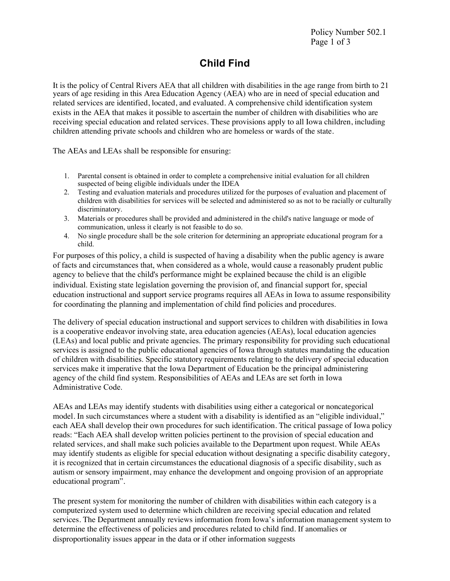Policy Number 502.1 Page 1 of 3

## **Child Find**

It is the policy of Central Rivers AEA that all children with disabilities in the age range from birth to 21 years of age residing in this Area Education Agency (AEA) who are in need of special education and related services are identified, located, and evaluated. A comprehensive child identification system exists in the AEA that makes it possible to ascertain the number of children with disabilities who are receiving special education and related services. These provisions apply to all Iowa children, including children attending private schools and children who are homeless or wards of the state.

The AEAs and LEAs shall be responsible for ensuring:

- 1. Parental consent is obtained in order to complete a comprehensive initial evaluation for all children suspected of being eligible individuals under the IDEA
- 2. Testing and evaluation materials and procedures utilized for the purposes of evaluation and placement of children with disabilities for services will be selected and administered so as not to be racially or culturally discriminatory.
- 3. Materials or procedures shall be provided and administered in the child's native language or mode of communication, unless it clearly is not feasible to do so.
- 4. No single procedure shall be the sole criterion for determining an appropriate educational program for a child.

For purposes of this policy, a child is suspected of having a disability when the public agency is aware of facts and circumstances that, when considered as a whole, would cause a reasonably prudent public agency to believe that the child's performance might be explained because the child is an eligible individual. Existing state legislation governing the provision of, and financial support for, special education instructional and support service programs requires all AEAs in Iowa to assume responsibility for coordinating the planning and implementation of child find policies and procedures.

The delivery of special education instructional and support services to children with disabilities in Iowa is a cooperative endeavor involving state, area education agencies (AEAs), local education agencies (LEAs) and local public and private agencies. The primary responsibility for providing such educational services is assigned to the public educational agencies of Iowa through statutes mandating the education of children with disabilities. Specific statutory requirements relating to the delivery of special education services make it imperative that the Iowa Department of Education be the principal administering agency of the child find system. Responsibilities of AEAs and LEAs are set forth in Iowa Administrative Code.

AEAs and LEAs may identify students with disabilities using either a categorical or noncategorical model. In such circumstances where a student with a disability is identified as an "eligible individual," each AEA shall develop their own procedures for such identification. The critical passage of Iowa policy reads: "Each AEA shall develop written policies pertinent to the provision of special education and related services, and shall make such policies available to the Department upon request. While AEAs may identify students as eligible for special education without designating a specific disability category, it is recognized that in certain circumstances the educational diagnosis of a specific disability, such as autism or sensory impairment, may enhance the development and ongoing provision of an appropriate educational program".

The present system for monitoring the number of children with disabilities within each category is a computerized system used to determine which children are receiving special education and related services. The Department annually reviews information from Iowa's information management system to determine the effectiveness of policies and procedures related to child find. If anomalies or disproportionality issues appear in the data or if other information suggests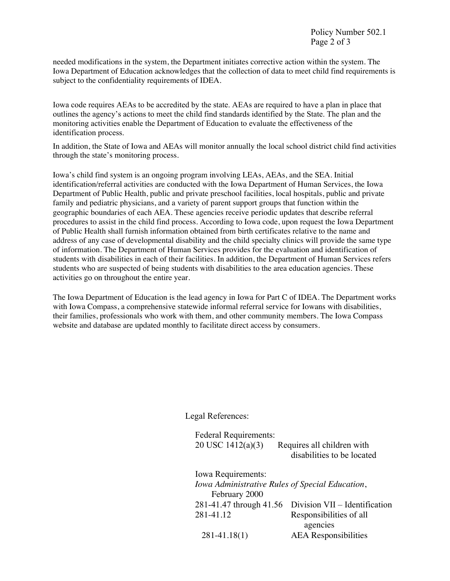Policy Number 502.1 Page 2 of 3

needed modifications in the system, the Department initiates corrective action within the system. The Iowa Department of Education acknowledges that the collection of data to meet child find requirements is subject to the confidentiality requirements of IDEA.

Iowa code requires AEAs to be accredited by the state. AEAs are required to have a plan in place that outlines the agency's actions to meet the child find standards identified by the State. The plan and the monitoring activities enable the Department of Education to evaluate the effectiveness of the identification process.

In addition, the State of Iowa and AEAs will monitor annually the local school district child find activities through the state's monitoring process.

Iowa's child find system is an ongoing program involving LEAs, AEAs, and the SEA. Initial identification/referral activities are conducted with the Iowa Department of Human Services, the Iowa Department of Public Health, public and private preschool facilities, local hospitals, public and private family and pediatric physicians, and a variety of parent support groups that function within the geographic boundaries of each AEA. These agencies receive periodic updates that describe referral procedures to assist in the child find process. According to Iowa code, upon request the Iowa Department of Public Health shall furnish information obtained from birth certificates relative to the name and address of any case of developmental disability and the child specialty clinics will provide the same type of information. The Department of Human Services provides for the evaluation and identification of students with disabilities in each of their facilities. In addition, the Department of Human Services refers students who are suspected of being students with disabilities to the area education agencies. These activities go on throughout the entire year.

The Iowa Department of Education is the lead agency in Iowa for Part C of IDEA. The Department works with Iowa Compass, a comprehensive statewide informal referral service for Iowans with disabilities, their families, professionals who work with them, and other community members. The Iowa Compass website and database are updated monthly to facilitate direct access by consumers.

Legal References:

Federal Requirements: 20 USC 1412(a)(3) Requires all children with disabilities to be located Iowa Requirements: *Iowa Administrative Rules of Special Education*, February 2000 281-41.47 through 41.56 Division VII – Identification 281-41.12 Responsibilities of all agencies 281-41.18(1) AEA Responsibilities